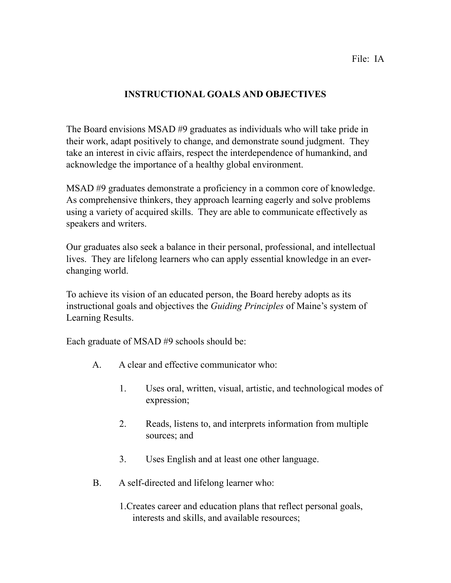### File: IA

# **INSTRUCTIONAL GOALS AND OBJECTIVES**

The Board envisions MSAD #9 graduates as individuals who will take pride in their work, adapt positively to change, and demonstrate sound judgment. They take an interest in civic affairs, respect the interdependence of humankind, and acknowledge the importance of a healthy global environment.

MSAD #9 graduates demonstrate a proficiency in a common core of knowledge. As comprehensive thinkers, they approach learning eagerly and solve problems using a variety of acquired skills. They are able to communicate effectively as speakers and writers.

Our graduates also seek a balance in their personal, professional, and intellectual lives. They are lifelong learners who can apply essential knowledge in an everchanging world.

To achieve its vision of an educated person, the Board hereby adopts as its instructional goals and objectives the *Guiding Principles* of Maine's system of Learning Results.

Each graduate of MSAD #9 schools should be:

- A. A clear and effective communicator who:
	- 1. Uses oral, written, visual, artistic, and technological modes of expression;
	- 2. Reads, listens to, and interprets information from multiple sources; and
	- 3. Uses English and at least one other language.
- B. A self-directed and lifelong learner who:
	- 1.Creates career and education plans that reflect personal goals, interests and skills, and available resources;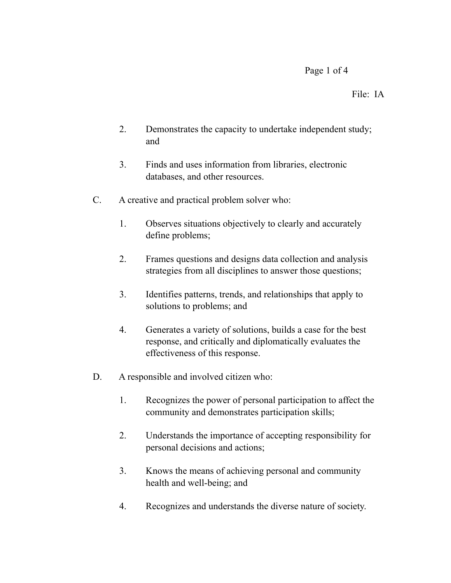## Page 1 of 4

### File: IA

- 2. Demonstrates the capacity to undertake independent study; and
- 3. Finds and uses information from libraries, electronic databases, and other resources.
- C. A creative and practical problem solver who:
	- 1. Observes situations objectively to clearly and accurately define problems;
	- 2. Frames questions and designs data collection and analysis strategies from all disciplines to answer those questions;
	- 3. Identifies patterns, trends, and relationships that apply to solutions to problems; and
	- 4. Generates a variety of solutions, builds a case for the best response, and critically and diplomatically evaluates the effectiveness of this response.
- D. A responsible and involved citizen who:
	- 1. Recognizes the power of personal participation to affect the community and demonstrates participation skills;
	- 2. Understands the importance of accepting responsibility for personal decisions and actions;
	- 3. Knows the means of achieving personal and community health and well-being; and
	- 4. Recognizes and understands the diverse nature of society.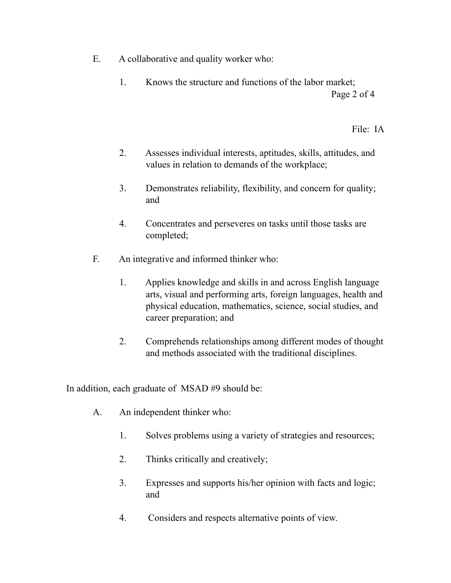- E. A collaborative and quality worker who:
	- 1. Knows the structure and functions of the labor market; Page 2 of 4

File: IA

- 2. Assesses individual interests, aptitudes, skills, attitudes, and values in relation to demands of the workplace;
- 3. Demonstrates reliability, flexibility, and concern for quality; and
- 4. Concentrates and perseveres on tasks until those tasks are completed;
- F. An integrative and informed thinker who:
	- 1. Applies knowledge and skills in and across English language arts, visual and performing arts, foreign languages, health and physical education, mathematics, science, social studies, and career preparation; and
	- 2. Comprehends relationships among different modes of thought and methods associated with the traditional disciplines.

In addition, each graduate of MSAD #9 should be:

- A. An independent thinker who:
	- 1. Solves problems using a variety of strategies and resources;
	- 2. Thinks critically and creatively;
	- 3. Expresses and supports his/her opinion with facts and logic; and
	- 4. Considers and respects alternative points of view.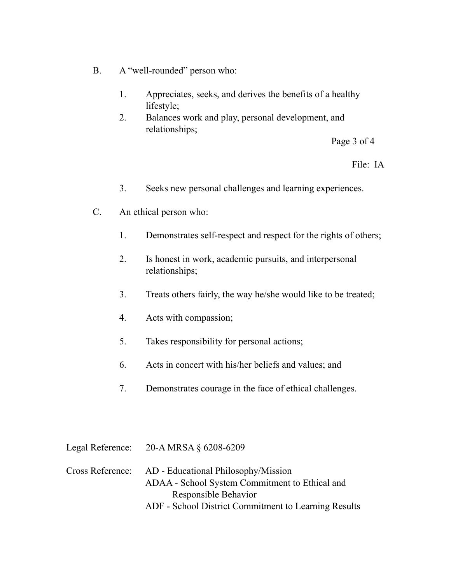- B. A "well-rounded" person who:
	- 1. Appreciates, seeks, and derives the benefits of a healthy lifestyle;
	- 2. Balances work and play, personal development, and relationships;

Page 3 of 4

## File: IA

- 3. Seeks new personal challenges and learning experiences.
- C. An ethical person who:
	- 1. Demonstrates self-respect and respect for the rights of others;
	- 2. Is honest in work, academic pursuits, and interpersonal relationships;
	- 3. Treats others fairly, the way he/she would like to be treated;
	- 4. Acts with compassion;
	- 5. Takes responsibility for personal actions;
	- 6. Acts in concert with his/her beliefs and values; and
	- 7. Demonstrates courage in the face of ethical challenges.

|                  | Legal Reference: $20-A MRSA \S 6208-6209$            |
|------------------|------------------------------------------------------|
| Cross Reference: | AD - Educational Philosophy/Mission                  |
|                  | ADAA - School System Commitment to Ethical and       |
|                  | Responsible Behavior                                 |
|                  | ADF - School District Commitment to Learning Results |